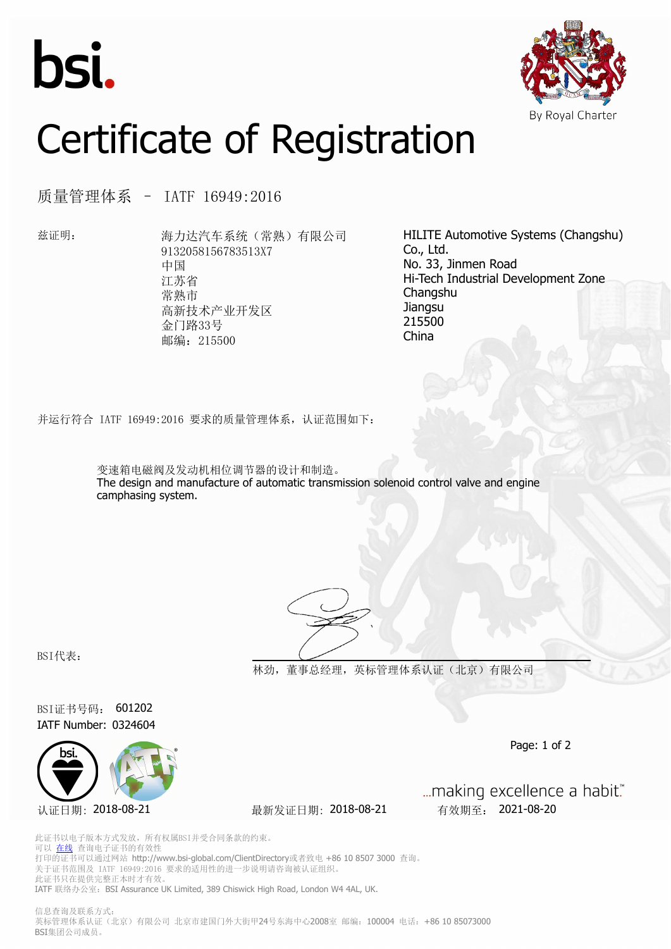



## Certificate of Registration

质量管理体系 – IATF 16949:2016

兹证明: 海力达汽车系统(常熟)有限公司 9132058156783513X7 中国 江苏省 常熟市 高新技术产业开发区 金门路33号 邮编: 215500

HILITE Automotive Systems (Changshu) Co., Ltd. No. 33, Jinmen Road Hi-Tech Industrial Development Zone Changshu **Jiangsu** 215500 China

并运行符合 IATF 16949:2016 要求的质量管理体系,认证范围如下:

变速箱电磁阀及发动机相位调节器的设计和制造。 The design and manufacture of automatic transmission solenoid control valve and engine camphasing system.



BSI代表:

**林劲,董事总经理,英标管理体系认证(北京)有限公司**

BSI证书号码: 601202 IATF Number: 0324604



认证日期: 2018-08-21 最新发证日期: 2018-08-21 有效期至: 2021-08-20

... making excellence a habit."

Page: 1 of 2

此证书以电子版本方式发放,所有权属BSI并受合同条款的约束。 可以 [在线](https://pgplus.bsigroup.com/CertificateValidation/CertificateValidator.aspx?CertificateNumber=601202&ReIssueDate=21%2f08%2f2018&Template=cn) 查询电子证书的有效性 打印的证书可以通过网站 http://www.bsi-global.com/ClientDirectory或者致电 +86 10 8507 3000 查询。 关于证书范围及 IATF 16949:2016 要求的适用性的进一步说明请咨询被认证组织。 此证书只在提供完整正本时才有效。 IATF 联络办公室: BSI Assurance UK Limited, 389 Chiswick High Road, London W4 4AL, UK.